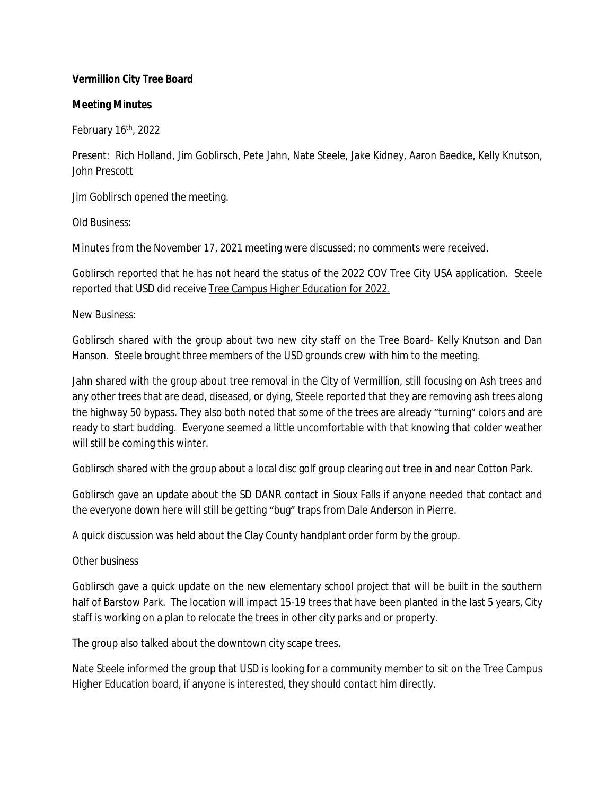## **Vermillion City Tree Board**

### **Meeting Minutes**

February  $16<sup>th</sup>$ , 2022

Present: Rich Holland, Jim Goblirsch, Pete Jahn, Nate Steele, Jake Kidney, Aaron Baedke, Kelly Knutson, John Prescott

Jim Goblirsch opened the meeting.

*Old Business:*

Minutes from the November 17, 2021 meeting were discussed; no comments were received.

Goblirsch reported that he has not heard the status of the 2022 COV Tree City USA application. Steele reported that USD did receive Tree Campus Higher Education for 2022.

## *New Business:*

Goblirsch shared with the group about two new city staff on the Tree Board- Kelly Knutson and Dan Hanson. Steele brought three members of the USD grounds crew with him to the meeting.

Jahn shared with the group about tree removal in the City of Vermillion, still focusing on Ash trees and any other trees that are dead, diseased, or dying, Steele reported that they are removing ash trees along the highway 50 bypass. They also both noted that some of the trees are already "turning" colors and are ready to start budding. Everyone seemed a little uncomfortable with that knowing that colder weather will still be coming this winter.

Goblirsch shared with the group about a local disc golf group clearing out tree in and near Cotton Park.

Goblirsch gave an update about the SD DANR contact in Sioux Falls if anyone needed that contact and the everyone down here will still be getting "bug" traps from Dale Anderson in Pierre.

A quick discussion was held about the Clay County handplant order form by the group.

# *Other business*

Goblirsch gave a quick update on the new elementary school project that will be built in the southern half of Barstow Park. The location will impact 15-19 trees that have been planted in the last 5 years, City staff is working on a plan to relocate the trees in other city parks and or property.

The group also talked about the downtown city scape trees.

Nate Steele informed the group that USD is looking for a community member to sit on the Tree Campus Higher Education board, if anyone is interested, they should contact him directly.